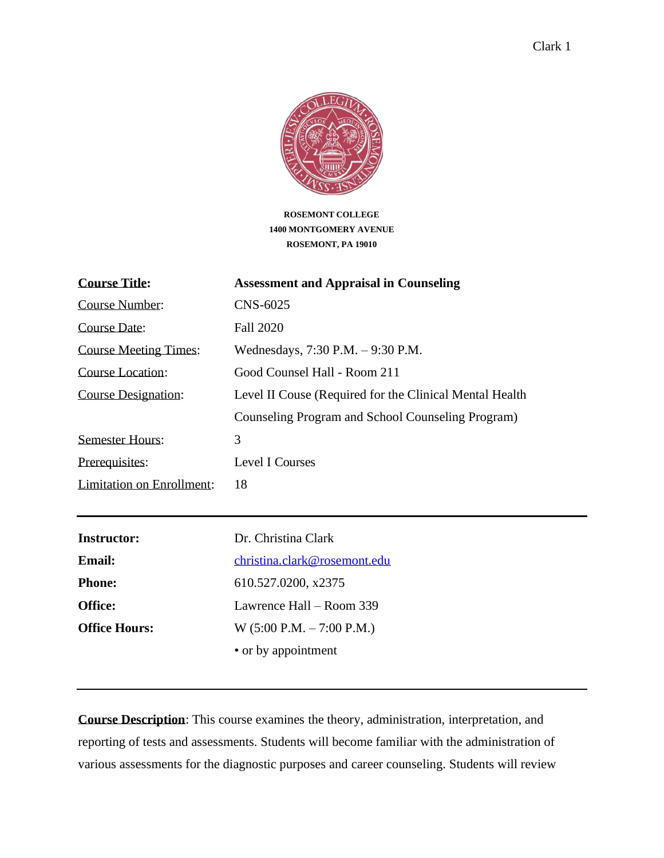

**ROSEMONT COLLEGE 1400 MONTGOMERY AVENUE ROSEMONT, PA 19010**

| <b>Course Title:</b>         | <b>Assessment and Appraisal in Counseling</b>           |
|------------------------------|---------------------------------------------------------|
| Course Number:               | CNS-6025                                                |
| Course Date:                 | Fall 2020                                               |
| <b>Course Meeting Times:</b> | Wednesdays, $7:30$ P.M. $-9:30$ P.M.                    |
| Course Location:             | Good Counsel Hall - Room 211                            |
| <b>Course Designation:</b>   | Level II Couse (Required for the Clinical Mental Health |
|                              | Counseling Program and School Counseling Program)       |
| <b>Semester Hours:</b>       | 3                                                       |
| Prerequisites:               | Level I Courses                                         |
| Limitation on Enrollment:    | 18                                                      |
|                              |                                                         |

| <b>Instructor:</b>   | Dr. Christina Clark           |
|----------------------|-------------------------------|
| <b>Email:</b>        | christina.clark@rosemont.edu  |
| <b>Phone:</b>        | 610.527.0200, x2375           |
| <b>Office:</b>       | Lawrence Hall – Room 339      |
| <b>Office Hours:</b> | $W$ (5:00 P.M. $-$ 7:00 P.M.) |
|                      | • or by appointment           |

**Course Description**: This course examines the theory, administration, interpretation, and reporting of tests and assessments. Students will become familiar with the administration of various assessments for the diagnostic purposes and career counseling. Students will review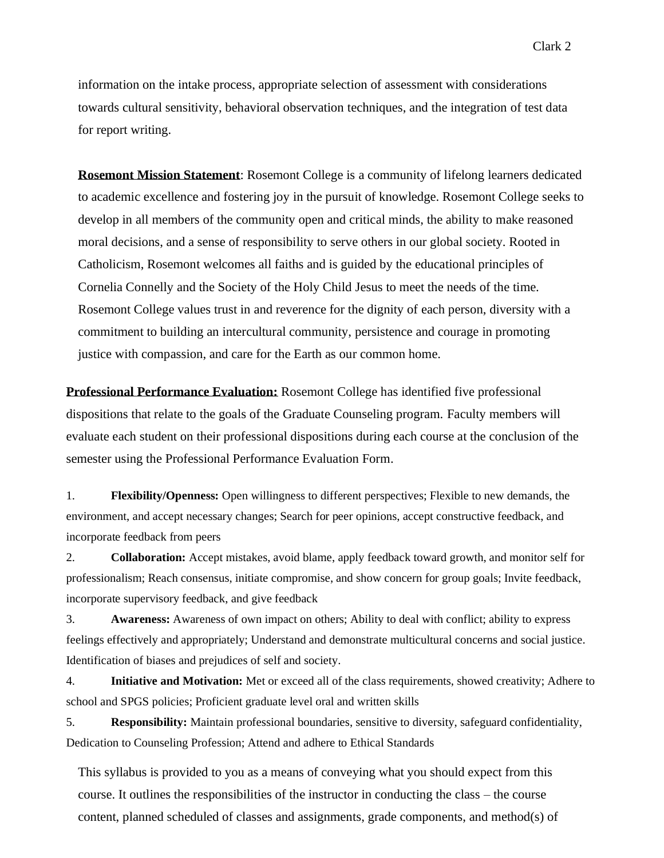information on the intake process, appropriate selection of assessment with considerations towards cultural sensitivity, behavioral observation techniques, and the integration of test data for report writing.

**Rosemont Mission Statement**: Rosemont College is a community of lifelong learners dedicated to academic excellence and fostering joy in the pursuit of knowledge. Rosemont College seeks to develop in all members of the community open and critical minds, the ability to make reasoned moral decisions, and a sense of responsibility to serve others in our global society. Rooted in Catholicism, Rosemont welcomes all faiths and is guided by the educational principles of Cornelia Connelly and the Society of the Holy Child Jesus to meet the needs of the time. Rosemont College values trust in and reverence for the dignity of each person, diversity with a commitment to building an intercultural community, persistence and courage in promoting justice with compassion, and care for the Earth as our common home.

**Professional Performance Evaluation:** Rosemont College has identified five professional dispositions that relate to the goals of the Graduate Counseling program. Faculty members will evaluate each student on their professional dispositions during each course at the conclusion of the semester using the Professional Performance Evaluation Form.

1. **Flexibility/Openness:** Open willingness to different perspectives; Flexible to new demands, the environment, and accept necessary changes; Search for peer opinions, accept constructive feedback, and incorporate feedback from peers

2. **Collaboration:** Accept mistakes, avoid blame, apply feedback toward growth, and monitor self for professionalism; Reach consensus, initiate compromise, and show concern for group goals; Invite feedback, incorporate supervisory feedback, and give feedback

3. **Awareness:** Awareness of own impact on others; Ability to deal with conflict; ability to express feelings effectively and appropriately; Understand and demonstrate multicultural concerns and social justice. Identification of biases and prejudices of self and society.

4. **Initiative and Motivation:** Met or exceed all of the class requirements, showed creativity; Adhere to school and SPGS policies; Proficient graduate level oral and written skills

5. **Responsibility:** Maintain professional boundaries, sensitive to diversity, safeguard confidentiality, Dedication to Counseling Profession; Attend and adhere to Ethical Standards

This syllabus is provided to you as a means of conveying what you should expect from this course. It outlines the responsibilities of the instructor in conducting the class – the course content, planned scheduled of classes and assignments, grade components, and method(s) of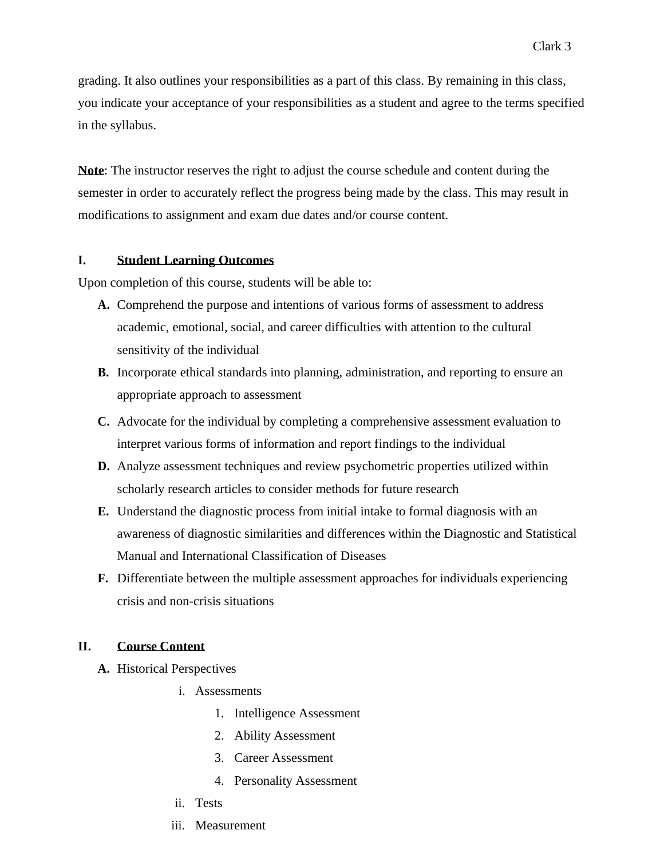grading. It also outlines your responsibilities as a part of this class. By remaining in this class, you indicate your acceptance of your responsibilities as a student and agree to the terms specified in the syllabus.

**Note**: The instructor reserves the right to adjust the course schedule and content during the semester in order to accurately reflect the progress being made by the class. This may result in modifications to assignment and exam due dates and/or course content.

#### **I. Student Learning Outcomes**

Upon completion of this course, students will be able to:

- **A.** Comprehend the purpose and intentions of various forms of assessment to address academic, emotional, social, and career difficulties with attention to the cultural sensitivity of the individual
- **B.** Incorporate ethical standards into planning, administration, and reporting to ensure an appropriate approach to assessment
- **C.** Advocate for the individual by completing a comprehensive assessment evaluation to interpret various forms of information and report findings to the individual
- **D.** Analyze assessment techniques and review psychometric properties utilized within scholarly research articles to consider methods for future research
- **E.** Understand the diagnostic process from initial intake to formal diagnosis with an awareness of diagnostic similarities and differences within the Diagnostic and Statistical Manual and International Classification of Diseases
- **F.** Differentiate between the multiple assessment approaches for individuals experiencing crisis and non-crisis situations

#### **II. Course Content**

- **A.** Historical Perspectives
	- i. Assessments
		- 1. Intelligence Assessment
		- 2. Ability Assessment
		- 3. Career Assessment
		- 4. Personality Assessment
	- ii. Tests
	- iii. Measurement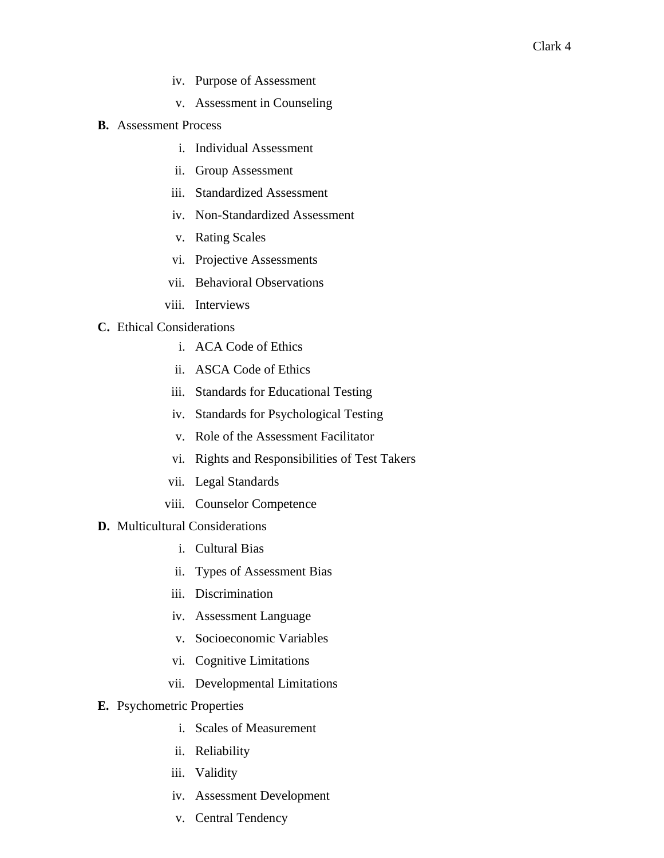- iv. Purpose of Assessment
- v. Assessment in Counseling
- **B.** Assessment Process
	- i. Individual Assessment
	- ii. Group Assessment
	- iii. Standardized Assessment
	- iv. Non-Standardized Assessment
	- v. Rating Scales
	- vi. Projective Assessments
	- vii. Behavioral Observations
	- viii. Interviews

#### **C.** Ethical Considerations

- i. ACA Code of Ethics
- ii. ASCA Code of Ethics
- iii. Standards for Educational Testing
- iv. Standards for Psychological Testing
- v. Role of the Assessment Facilitator
- vi. Rights and Responsibilities of Test Takers
- vii. Legal Standards
- viii. Counselor Competence
- **D.** Multicultural Considerations
	- i. Cultural Bias
	- ii. Types of Assessment Bias
	- iii. Discrimination
	- iv. Assessment Language
	- v. Socioeconomic Variables
	- vi. Cognitive Limitations
	- vii. Developmental Limitations
- **E.** Psychometric Properties
	- i. Scales of Measurement
	- ii. Reliability
	- iii. Validity
	- iv. Assessment Development
	- v. Central Tendency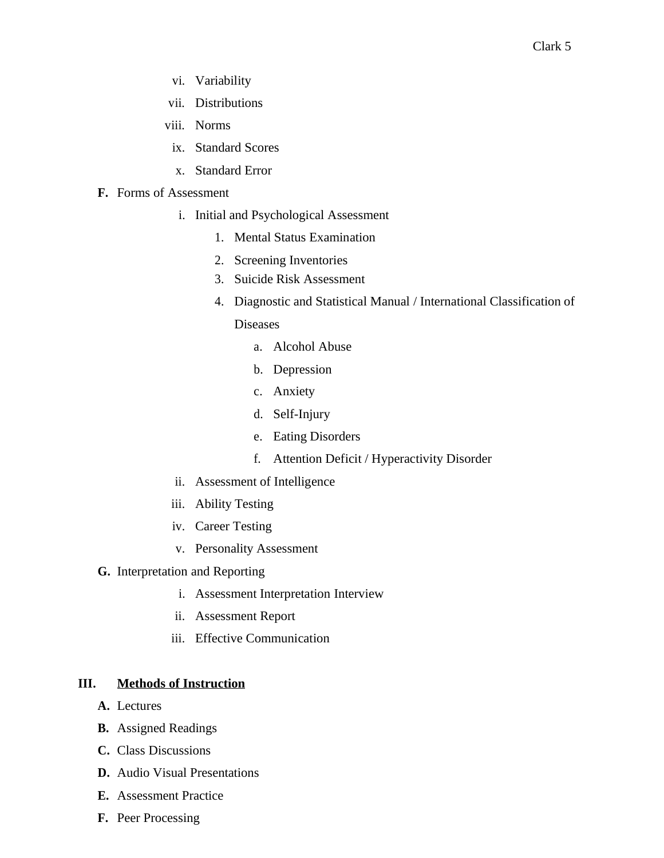- vi. Variability
- vii. Distributions
- viii. Norms
- ix. Standard Scores
- x. Standard Error

#### **F.** Forms of Assessment

- i. Initial and Psychological Assessment
	- 1. Mental Status Examination
	- 2. Screening Inventories
	- 3. Suicide Risk Assessment
	- 4. Diagnostic and Statistical Manual / International Classification of

#### **Diseases**

- a. Alcohol Abuse
- b. Depression
- c. Anxiety
- d. Self-Injury
- e. Eating Disorders
- f. Attention Deficit / Hyperactivity Disorder
- ii. Assessment of Intelligence
- iii. Ability Testing
- iv. Career Testing
- v. Personality Assessment
- **G.** Interpretation and Reporting
	- i. Assessment Interpretation Interview
	- ii. Assessment Report
	- iii. Effective Communication

## **III. Methods of Instruction**

- **A.** Lectures
- **B.** Assigned Readings
- **C.** Class Discussions
- **D.** Audio Visual Presentations
- **E.** Assessment Practice
- **F.** Peer Processing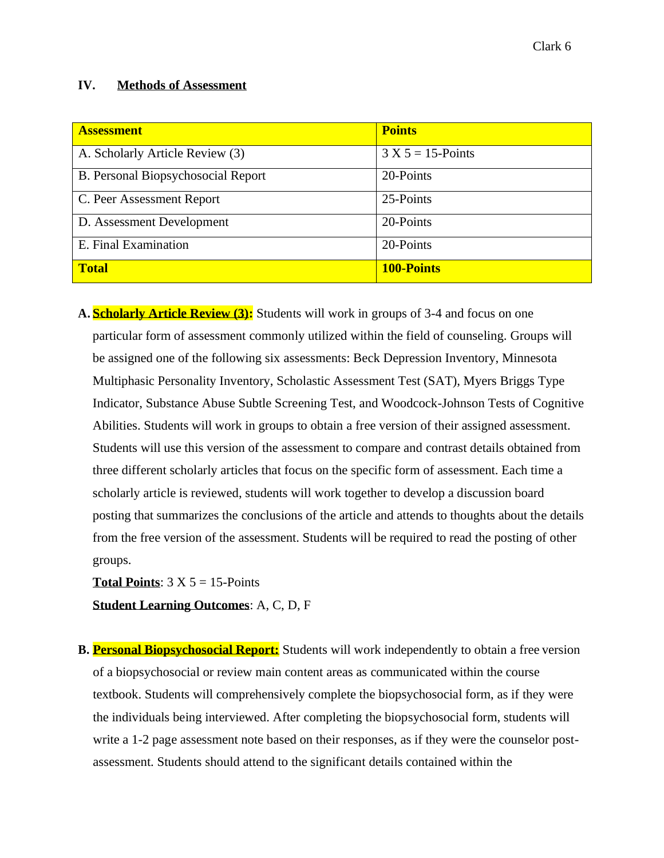#### **IV. Methods of Assessment**

| <b>Assessment</b>                  | <b>Points</b>        |
|------------------------------------|----------------------|
| A. Scholarly Article Review (3)    | $3 X 5 = 15$ -Points |
| B. Personal Biopsychosocial Report | 20-Points            |
| C. Peer Assessment Report          | 25-Points            |
| D. Assessment Development          | 20-Points            |
| E. Final Examination               | 20-Points            |
| <b>Total</b>                       | <b>100-Points</b>    |

**A. Scholarly Article Review (3):** Students will work in groups of 3-4 and focus on one particular form of assessment commonly utilized within the field of counseling. Groups will be assigned one of the following six assessments: Beck Depression Inventory, Minnesota Multiphasic Personality Inventory, Scholastic Assessment Test (SAT), Myers Briggs Type Indicator, Substance Abuse Subtle Screening Test, and Woodcock-Johnson Tests of Cognitive Abilities. Students will work in groups to obtain a free version of their assigned assessment. Students will use this version of the assessment to compare and contrast details obtained from three different scholarly articles that focus on the specific form of assessment. Each time a scholarly article is reviewed, students will work together to develop a discussion board posting that summarizes the conclusions of the article and attends to thoughts about the details from the free version of the assessment. Students will be required to read the posting of other groups.

**Total Points:**  $3 \times 5 = 15$ -Points

**Student Learning Outcomes**: A, C, D, F

**B. Personal Biopsychosocial Report:** Students will work independently to obtain a free version of a biopsychosocial or review main content areas as communicated within the course textbook. Students will comprehensively complete the biopsychosocial form, as if they were the individuals being interviewed. After completing the biopsychosocial form, students will write a 1-2 page assessment note based on their responses, as if they were the counselor postassessment. Students should attend to the significant details contained within the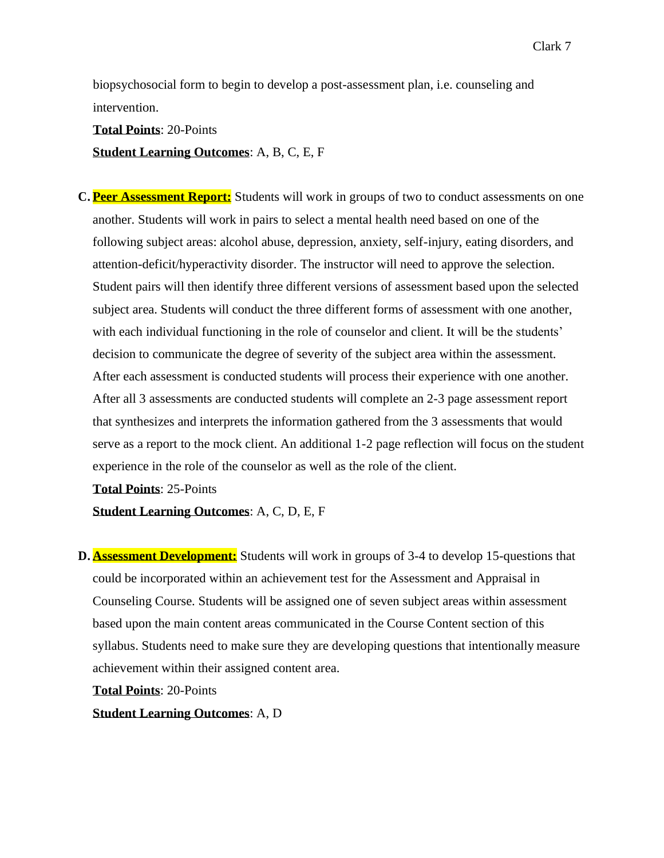biopsychosocial form to begin to develop a post-assessment plan, i.e. counseling and intervention.

**Total Points**: 20-Points **Student Learning Outcomes**: A, B, C, E, F

**C. Peer Assessment Report:** Students will work in groups of two to conduct assessments on one another. Students will work in pairs to select a mental health need based on one of the following subject areas: alcohol abuse, depression, anxiety, self-injury, eating disorders, and attention-deficit/hyperactivity disorder. The instructor will need to approve the selection. Student pairs will then identify three different versions of assessment based upon the selected subject area. Students will conduct the three different forms of assessment with one another, with each individual functioning in the role of counselor and client. It will be the students' decision to communicate the degree of severity of the subject area within the assessment. After each assessment is conducted students will process their experience with one another. After all 3 assessments are conducted students will complete an 2-3 page assessment report that synthesizes and interprets the information gathered from the 3 assessments that would serve as a report to the mock client. An additional 1-2 page reflection will focus on the student experience in the role of the counselor as well as the role of the client.

**Total Points**: 25-Points

**Student Learning Outcomes**: A, C, D, E, F

**D. Assessment Development:** Students will work in groups of 3-4 to develop 15-questions that could be incorporated within an achievement test for the Assessment and Appraisal in Counseling Course. Students will be assigned one of seven subject areas within assessment based upon the main content areas communicated in the Course Content section of this syllabus. Students need to make sure they are developing questions that intentionally measure achievement within their assigned content area.

**Total Points**: 20-Points

**Student Learning Outcomes**: A, D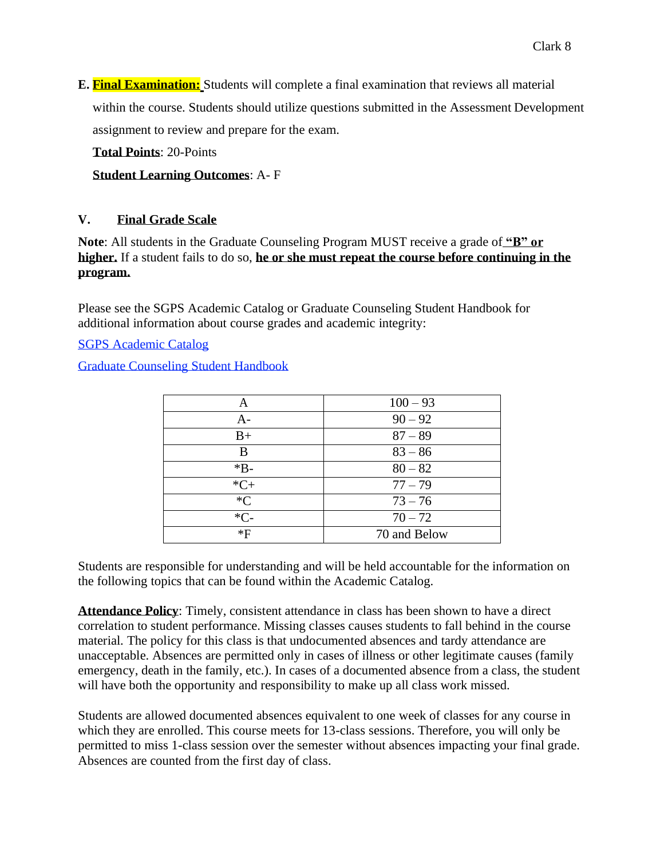**E. Final Examination:** Students will complete a final examination that reviews all material within the course. Students should utilize questions submitted in the Assessment Development assignment to review and prepare for the exam.

**Total Points**: 20-Points

## **Student Learning Outcomes**: A- F

#### **V. Final Grade Scale**

**Note**: All students in the Graduate Counseling Program MUST receive a grade of **"B" or higher.** If a student fails to do so, **he or she must repeat the course before continuing in the program.**

Please see the SGPS Academic Catalog or Graduate Counseling Student Handbook for additional information about course grades and academic integrity:

SGPS Academic Catalog

Graduate Counseling Student Handbook

| A      | $100 - 93$   |  |
|--------|--------------|--|
| $A -$  | $90 - 92$    |  |
| $B+$   | $87 - 89$    |  |
| B      | $83 - 86$    |  |
| $*B-$  | $80 - 82$    |  |
| $*C+$  | $77 - 79$    |  |
| $C^*C$ | $73 - 76$    |  |
| $*C-$  | $70 - 72$    |  |
| *F     | 70 and Below |  |

Students are responsible for understanding and will be held accountable for the information on the following topics that can be found within the Academic Catalog.

**Attendance Policy**: Timely, consistent attendance in class has been shown to have a direct correlation to student performance. Missing classes causes students to fall behind in the course material. The policy for this class is that undocumented absences and tardy attendance are unacceptable. Absences are permitted only in cases of illness or other legitimate causes (family emergency, death in the family, etc.). In cases of a documented absence from a class, the student will have both the opportunity and responsibility to make up all class work missed.

Students are allowed documented absences equivalent to one week of classes for any course in which they are enrolled. This course meets for 13-class sessions. Therefore, you will only be permitted to miss 1-class session over the semester without absences impacting your final grade. Absences are counted from the first day of class.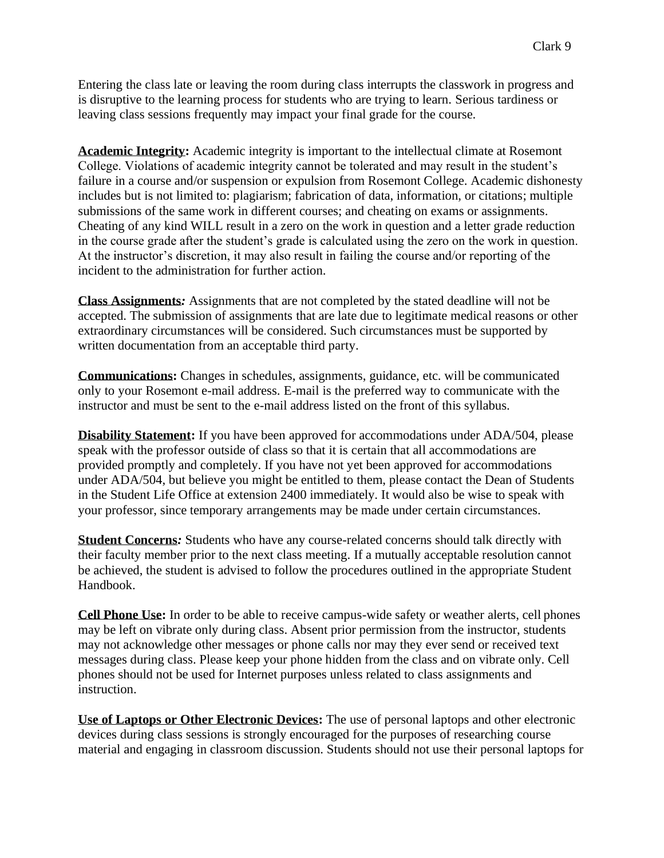Entering the class late or leaving the room during class interrupts the classwork in progress and is disruptive to the learning process for students who are trying to learn. Serious tardiness or leaving class sessions frequently may impact your final grade for the course.

**Academic Integrity:** Academic integrity is important to the intellectual climate at Rosemont College. Violations of academic integrity cannot be tolerated and may result in the student's failure in a course and/or suspension or expulsion from Rosemont College. Academic dishonesty includes but is not limited to: plagiarism; fabrication of data, information, or citations; multiple submissions of the same work in different courses; and cheating on exams or assignments. Cheating of any kind WILL result in a zero on the work in question and a letter grade reduction in the course grade after the student's grade is calculated using the zero on the work in question. At the instructor's discretion, it may also result in failing the course and/or reporting of the incident to the administration for further action.

**Class Assignments***:* Assignments that are not completed by the stated deadline will not be accepted. The submission of assignments that are late due to legitimate medical reasons or other extraordinary circumstances will be considered. Such circumstances must be supported by written documentation from an acceptable third party.

**Communications:** Changes in schedules, assignments, guidance, etc. will be communicated only to your Rosemont e-mail address. E-mail is the preferred way to communicate with the instructor and must be sent to the e-mail address listed on the front of this syllabus.

**Disability Statement:** If you have been approved for accommodations under ADA/504, please speak with the professor outside of class so that it is certain that all accommodations are provided promptly and completely. If you have not yet been approved for accommodations under ADA/504, but believe you might be entitled to them, please contact the Dean of Students in the Student Life Office at extension 2400 immediately. It would also be wise to speak with your professor, since temporary arrangements may be made under certain circumstances.

**Student Concerns***:* Students who have any course-related concerns should talk directly with their faculty member prior to the next class meeting. If a mutually acceptable resolution cannot be achieved, the student is advised to follow the procedures outlined in the appropriate Student Handbook.

**Cell Phone Use:** In order to be able to receive campus-wide safety or weather alerts, cell phones may be left on vibrate only during class. Absent prior permission from the instructor, students may not acknowledge other messages or phone calls nor may they ever send or received text messages during class. Please keep your phone hidden from the class and on vibrate only. Cell phones should not be used for Internet purposes unless related to class assignments and instruction.

**Use of Laptops or Other Electronic Devices:** The use of personal laptops and other electronic devices during class sessions is strongly encouraged for the purposes of researching course material and engaging in classroom discussion. Students should not use their personal laptops for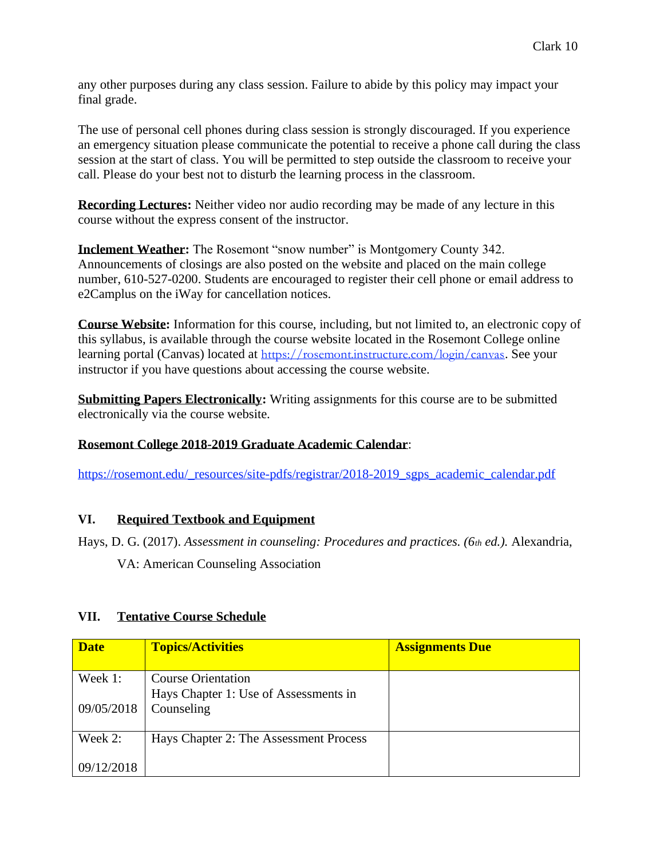any other purposes during any class session. Failure to abide by this policy may impact your final grade.

The use of personal cell phones during class session is strongly discouraged. If you experience an emergency situation please communicate the potential to receive a phone call during the class session at the start of class. You will be permitted to step outside the classroom to receive your call. Please do your best not to disturb the learning process in the classroom.

**Recording Lectures:** Neither video nor audio recording may be made of any lecture in this course without the express consent of the instructor.

**Inclement Weather:** The Rosemont "snow number" is Montgomery County 342. Announcements of closings are also posted on the website and placed on the main college number, 610-527-0200. Students are encouraged to register their cell phone or email address to e2Camplus on the iWay for cancellation notices.

**Course Website:** Information for this course, including, but not limited to, an electronic copy of this syllabus, is available through the course website located in the Rosemont College online learning portal (Canvas) located at <https://rosemont.instructure.com/login/canvas>. See your instructor if you have questions about accessing the course website.

**Submitting Papers Electronically:** Writing assignments for this course are to be submitted electronically via the course website.

## **Rosemont College 2018-2019 Graduate Academic Calendar**:

[https://rosemont.edu/\\_resources/site-pdfs/registrar/2018-2019\\_sgps\\_academic\\_calendar.pdf](https://rosemont.edu/_resources/site-pdfs/registrar/2018-2019_sgps_academic_calendar.pdf)

#### **VI. Required Textbook and Equipment**

Hays, D. G. (2017). *Assessment in counseling: Procedures and practices. (6th ed.).* Alexandria,

VA: American Counseling Association

| <b>Date</b> | <b>Topics/Activities</b>               | <b>Assignments Due</b> |
|-------------|----------------------------------------|------------------------|
| Week 1:     | <b>Course Orientation</b>              |                        |
|             | Hays Chapter 1: Use of Assessments in  |                        |
| 09/05/2018  | Counseling                             |                        |
|             |                                        |                        |
| Week 2:     | Hays Chapter 2: The Assessment Process |                        |
|             |                                        |                        |
| 09/12/2018  |                                        |                        |

## **VII. Tentative Course Schedule**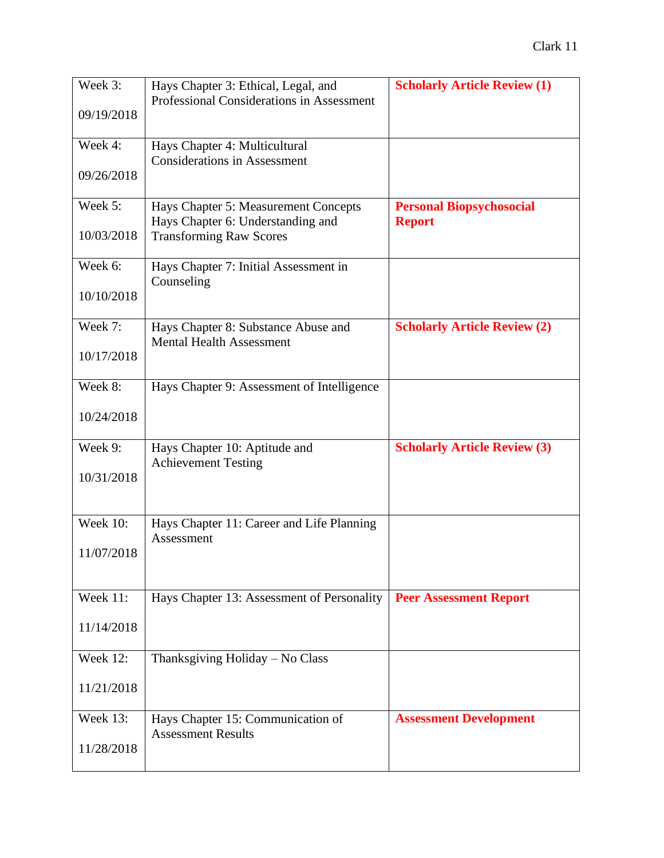| Week 3:         | Hays Chapter 3: Ethical, Legal, and                 | <b>Scholarly Article Review (1)</b> |
|-----------------|-----------------------------------------------------|-------------------------------------|
|                 | Professional Considerations in Assessment           |                                     |
| 09/19/2018      |                                                     |                                     |
| Week 4:         | Hays Chapter 4: Multicultural                       |                                     |
|                 | <b>Considerations in Assessment</b>                 |                                     |
| 09/26/2018      |                                                     |                                     |
| Week 5:         | Hays Chapter 5: Measurement Concepts                | <b>Personal Biopsychosocial</b>     |
|                 | Hays Chapter 6: Understanding and                   | <b>Report</b>                       |
| 10/03/2018      | <b>Transforming Raw Scores</b>                      |                                     |
|                 |                                                     |                                     |
| Week 6:         | Hays Chapter 7: Initial Assessment in<br>Counseling |                                     |
| 10/10/2018      |                                                     |                                     |
|                 |                                                     |                                     |
| Week 7:         | Hays Chapter 8: Substance Abuse and                 | <b>Scholarly Article Review (2)</b> |
| 10/17/2018      | <b>Mental Health Assessment</b>                     |                                     |
|                 |                                                     |                                     |
| Week 8:         | Hays Chapter 9: Assessment of Intelligence          |                                     |
|                 |                                                     |                                     |
| 10/24/2018      |                                                     |                                     |
| Week 9:         | Hays Chapter 10: Aptitude and                       | <b>Scholarly Article Review (3)</b> |
|                 | <b>Achievement Testing</b>                          |                                     |
| 10/31/2018      |                                                     |                                     |
|                 |                                                     |                                     |
| <b>Week 10:</b> | Hays Chapter 11: Career and Life Planning           |                                     |
|                 | Assessment                                          |                                     |
| 11/07/2018      |                                                     |                                     |
|                 |                                                     |                                     |
| Week 11:        | Hays Chapter 13: Assessment of Personality          | <b>Peer Assessment Report</b>       |
|                 |                                                     |                                     |
| 11/14/2018      |                                                     |                                     |
| <b>Week 12:</b> | Thanksgiving Holiday - No Class                     |                                     |
|                 |                                                     |                                     |
| 11/21/2018      |                                                     |                                     |
| <b>Week 13:</b> | Hays Chapter 15: Communication of                   | <b>Assessment Development</b>       |
|                 | <b>Assessment Results</b>                           |                                     |
| 11/28/2018      |                                                     |                                     |
|                 |                                                     |                                     |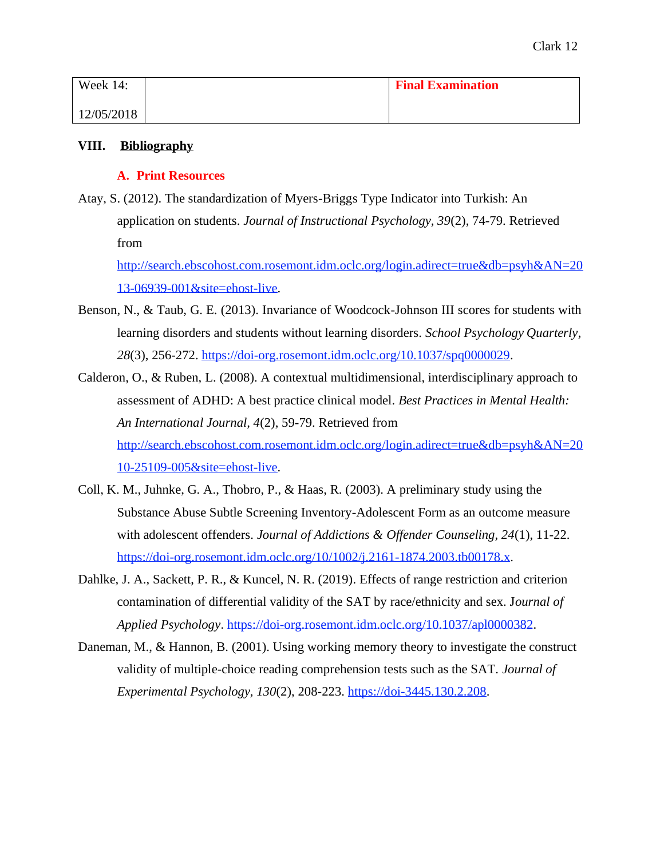| Week $14$ : | <b>Final Examination</b> |
|-------------|--------------------------|
| 12/05/2018  |                          |

## **VIII. Bibliography**

### **A. Print Resources**

Atay, S. (2012). The standardization of Myers-Briggs Type Indicator into Turkish: An application on students. *Journal of Instructional Psychology, 39*(2), 74-79. Retrieved from

[http://search.ebscohost.com.rosemont.idm.oclc.org/login.adirect=true&db=psyh&AN=20](http://search.ebscohost.com.rosemont.idm.oclc.org/login.adirect%3Dtrue%26db%3Dpsyh%26AN%3D2013-06939-001%26site%3Dehost-live) [13-06939-001&site=ehost-live.](http://search.ebscohost.com.rosemont.idm.oclc.org/login.adirect%3Dtrue%26db%3Dpsyh%26AN%3D2013-06939-001%26site%3Dehost-live)

- Benson, N., & Taub, G. E. (2013). Invariance of Woodcock-Johnson III scores for students with learning disorders and students without learning disorders. *School Psychology Quarterly, 28*(3), 256-272. [https://doi-org.rosemont.idm.oclc.org/10.1037/spq0000029.](https://doi-org.rosemont.idm.oclc.org/10.1037/spq0000029)
- Calderon, O., & Ruben, L. (2008). A contextual multidimensional, interdisciplinary approach to assessment of ADHD: A best practice clinical model. *Best Practices in Mental Health: An International Journal, 4*(2), 59-79. Retrieved from [http://search.ebscohost.com.rosemont.idm.oclc.org/login.adirect=true&db=psyh&AN=20](http://search.ebscohost.com.rosemont.idm.oclc.org/login.adirect%3Dtrue%26db%3Dpsyh%26AN%3D2010-25109-005%26site%3Dehost-live) [10-25109-005&site=ehost-live.](http://search.ebscohost.com.rosemont.idm.oclc.org/login.adirect%3Dtrue%26db%3Dpsyh%26AN%3D2010-25109-005%26site%3Dehost-live)
- Coll, K. M., Juhnke, G. A., Thobro, P., & Haas, R. (2003). A preliminary study using the Substance Abuse Subtle Screening Inventory-Adolescent Form as an outcome measure with adolescent offenders. *Journal of Addictions & Offender Counseling, 24*(1), 11-22. [https://doi-org.rosemont.idm.oclc.org/10/1002/j.2161-1874.2003.tb00178.x.](https://doi-org.rosemont.idm.oclc.org/10/1002/j.2161-1874.2003.tb00178.x)
- Dahlke, J. A., Sackett, P. R., & Kuncel, N. R. (2019). Effects of range restriction and criterion contamination of differential validity of the SAT by race/ethnicity and sex. J*ournal of Applied Psychology*. [https://doi-org.rosemont.idm.oclc.org/10.1037/apl0000382.](https://doi-org.rosemont.idm.oclc.org/10.1037/apl0000382)
- Daneman, M., & Hannon, B. (2001). Using working memory theory to investigate the construct validity of multiple-choice reading comprehension tests such as the SAT. *Journal of Experimental Psychology, 130*(2), 208-223. [https://doi-3445.130.2.208.](https://doi-3445.130.2.208/)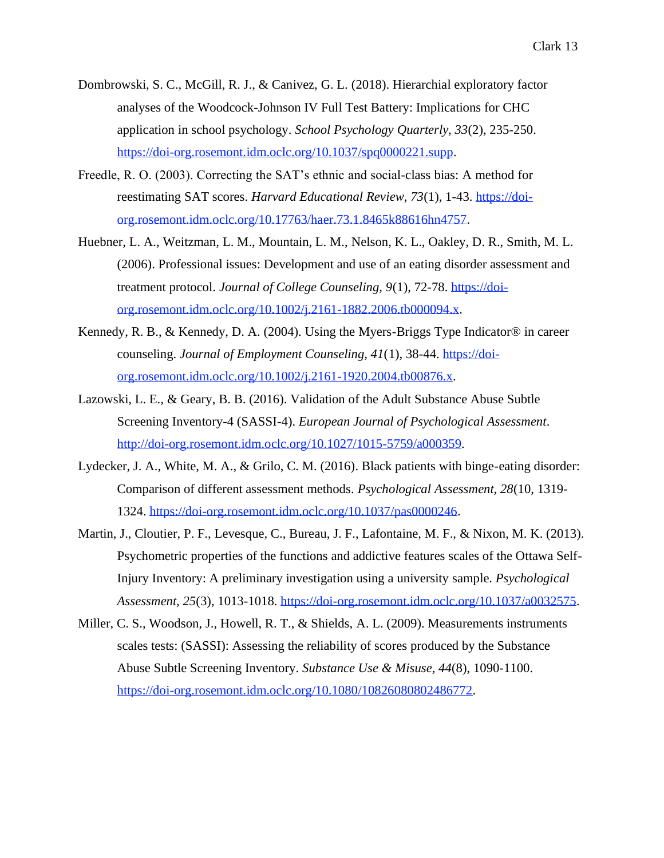- Dombrowski, S. C., McGill, R. J., & Canivez, G. L. (2018). Hierarchial exploratory factor analyses of the Woodcock-Johnson IV Full Test Battery: Implications for CHC application in school psychology. *School Psychology Quarterly, 33*(2), 235-250. [https://doi-org.rosemont.idm.oclc.org/10.1037/spq0000221.supp.](https://doi-org.rosemont.idm.oclc.org/10.1037/spq0000221.supp)
- Freedle, R. O. (2003). Correcting the SAT's ethnic and social-class bias: A method for reestimating SAT scores. *Harvard Educational Review, 73*(1), 1-43. [https://doi](https://doi-org.rosemont.idm.oclc.org/10.17763/haer.73.1.8465k88616hn4757)[org.rosemont.idm.oclc.org/10.17763/haer.73.1.8465k88616hn4757.](https://doi-org.rosemont.idm.oclc.org/10.17763/haer.73.1.8465k88616hn4757)
- Huebner, L. A., Weitzman, L. M., Mountain, L. M., Nelson, K. L., Oakley, D. R., Smith, M. L. (2006). Professional issues: Development and use of an eating disorder assessment and treatment protocol. *Journal of College Counseling, 9*(1), 72-78. [https://doi](https://doi-org.rosemont.idm.oclc.org/10.1002/j.2161-1882.2006.tb000094.x)[org.rosemont.idm.oclc.org/10.1002/j.2161-1882.2006.tb000094.x.](https://doi-org.rosemont.idm.oclc.org/10.1002/j.2161-1882.2006.tb000094.x)
- Kennedy, R. B., & Kennedy, D. A. (2004). Using the Myers-Briggs Type Indicator® in career counseling. *Journal of Employment Counseling, 41*(1), 38-44. [https://doi](https://doi-org.rosemont.idm.oclc.org/10.1002/j.2161-1920.2004.tb00876.x)[org.rosemont.idm.oclc.org/10.1002/j.2161-1920.2004.tb00876.x.](https://doi-org.rosemont.idm.oclc.org/10.1002/j.2161-1920.2004.tb00876.x)
- Lazowski, L. E., & Geary, B. B. (2016). Validation of the Adult Substance Abuse Subtle Screening Inventory-4 (SASSI-4). *European Journal of Psychological Assessment*. [http://doi-org.rosemont.idm.oclc.org/10.1027/1015-5759/a000359.](http://doi-org.rosemont.idm.oclc.org/10.1027/1015-5759/a000359)
- Lydecker, J. A., White, M. A., & Grilo, C. M. (2016). Black patients with binge-eating disorder: Comparison of different assessment methods. *Psychological Assessment, 28*(10, 1319- 1324. [https://doi-org.rosemont.idm.oclc.org/10.1037/pas0000246.](https://doi-org.rosemont.idm.oclc.org/10.1037/pas0000246)
- Martin, J., Cloutier, P. F., Levesque, C., Bureau, J. F., Lafontaine, M. F., & Nixon, M. K. (2013). Psychometric properties of the functions and addictive features scales of the Ottawa Self-Injury Inventory: A preliminary investigation using a university sample. *Psychological Assessment, 25*(3), 1013-1018. [https://doi-org.rosemont.idm.oclc.org/10.1037/a0032575.](https://doi-org.rosemont.idm.oclc.org/10.1037/a0032575)
- Miller, C. S., Woodson, J., Howell, R. T., & Shields, A. L. (2009). Measurements instruments scales tests: (SASSI): Assessing the reliability of scores produced by the Substance Abuse Subtle Screening Inventory. *Substance Use & Misuse, 44*(8), 1090-1100. [https://doi-org.rosemont.idm.oclc.org/10.1080/10826080802486772.](https://doi-org.rosemont.idm.oclc.org/10.1080/10826080802486772)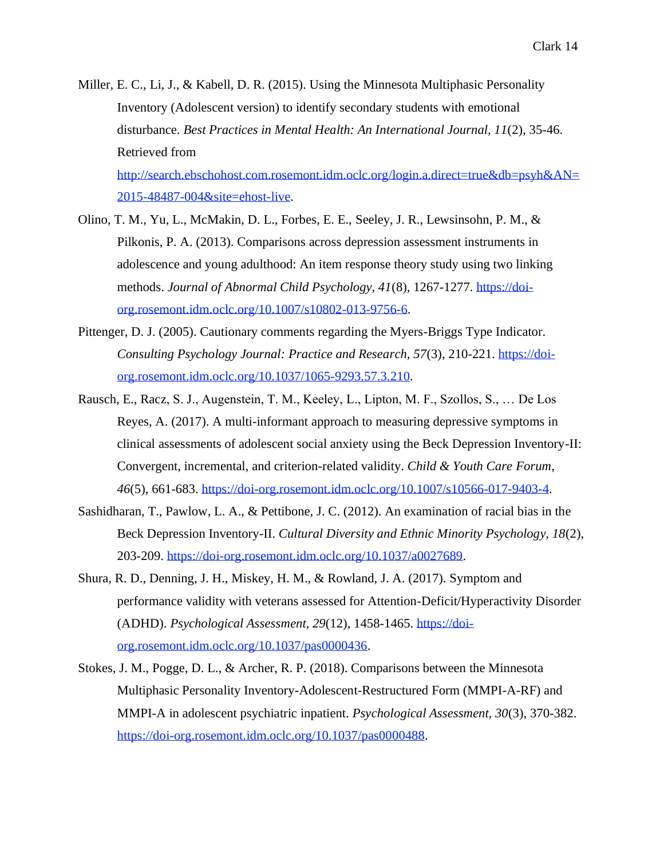- Miller, E. C., Li, J., & Kabell, D. R. (2015). Using the Minnesota Multiphasic Personality Inventory (Adolescent version) to identify secondary students with emotional disturbance. *Best Practices in Mental Health: An International Journal, 11*(2), 35-46. Retrieved from [http://search.ebschohost.com.rosemont.idm.oclc.org/login.a.direct=true&db=psyh&AN=](http://search.ebschohost.com.rosemont.idm.oclc.org/login.a.direct%3Dtrue%26db%3Dpsyh%26AN%3D2015-48487-004%26site%3Dehost-live) [2015-48487-004&site=ehost-live.](http://search.ebschohost.com.rosemont.idm.oclc.org/login.a.direct%3Dtrue%26db%3Dpsyh%26AN%3D2015-48487-004%26site%3Dehost-live)
- Olino, T. M., Yu, L., McMakin, D. L., Forbes, E. E., Seeley, J. R., Lewsinsohn, P. M., & Pilkonis, P. A. (2013). Comparisons across depression assessment instruments in adolescence and young adulthood: An item response theory study using two linking methods. *Journal of Abnormal Child Psychology, 41*(8), 1267-1277. [https://doi](https://doi-org.rosemont.idm.oclc.org/10.1007/s10802-013-9756-6)[org.rosemont.idm.oclc.org/10.1007/s10802-013-9756-6.](https://doi-org.rosemont.idm.oclc.org/10.1007/s10802-013-9756-6)
- Pittenger, D. J. (2005). Cautionary comments regarding the Myers-Briggs Type Indicator. *Consulting Psychology Journal: Practice and Research, 57*(3), 210-221. [https://doi](https://doi-org.rosemont.idm.oclc.org/10.1037/1065-9293.57.3.210)[org.rosemont.idm.oclc.org/10.1037/1065-9293.57.3.210.](https://doi-org.rosemont.idm.oclc.org/10.1037/1065-9293.57.3.210)
- Rausch, E., Racz, S. J., Augenstein, T. M., Keeley, L., Lipton, M. F., Szollos, S., … De Los Reyes, A. (2017). A multi-informant approach to measuring depressive symptoms in clinical assessments of adolescent social anxiety using the Beck Depression Inventory-II: Convergent, incremental, and criterion-related validity. *Child & Youth Care Forum, 46*(5), 661-683. [https://doi-org.rosemont.idm.oclc.org/10.1007/s10566-017-9403-4.](https://doi-org.rosemont.idm.oclc.org/10.1007/s10566-017-9403-4)
- Sashidharan, T., Pawlow, L. A., & Pettibone, J. C. (2012). An examination of racial bias in the Beck Depression Inventory-II. *Cultural Diversity and Ethnic Minority Psychology, 18*(2), 203-209. [https://doi-org.rosemont.idm.oclc.org/10.1037/a0027689.](https://doi-org.rosemont.idm.oclc.org/10.1037/a0027689)
- Shura, R. D., Denning, J. H., Miskey, H. M., & Rowland, J. A. (2017). Symptom and performance validity with veterans assessed for Attention-Deficit/Hyperactivity Disorder (ADHD). *Psychological Assessment, 29*(12), 1458-1465. [https://doi](https://doi-org.rosemont.idm.oclc.org/10.1037/pas0000436)[org.rosemont.idm.oclc.org/10.1037/pas0000436.](https://doi-org.rosemont.idm.oclc.org/10.1037/pas0000436)
- Stokes, J. M., Pogge, D. L., & Archer, R. P. (2018). Comparisons between the Minnesota Multiphasic Personality Inventory-Adolescent-Restructured Form (MMPI-A-RF) and MMPI-A in adolescent psychiatric inpatient. *Psychological Assessment, 30*(3), 370-382. [https://doi-org.rosemont.idm.oclc.org/10.1037/pas0000488.](https://doi-org.rosemont.idm.oclc.org/10.1037/pas0000488)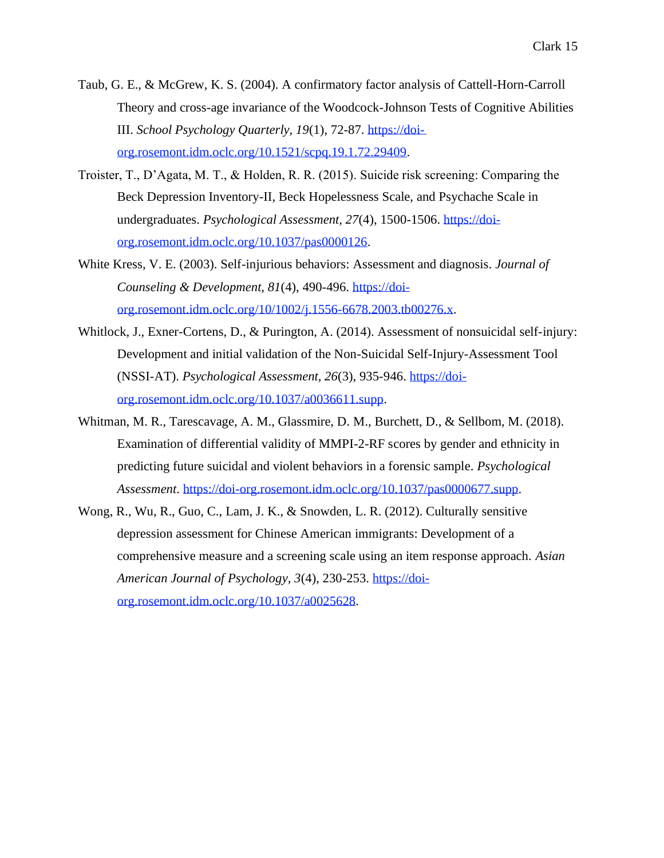- Taub, G. E., & McGrew, K. S. (2004). A confirmatory factor analysis of Cattell-Horn-Carroll Theory and cross-age invariance of the Woodcock-Johnson Tests of Cognitive Abilities III. *School Psychology Quarterly, 19*(1), 72-87. [https://doi](https://doi-org.rosemont.idm.oclc.org/10.1521/scpq.19.1.72.29409)[org.rosemont.idm.oclc.org/10.1521/scpq.19.1.72.29409.](https://doi-org.rosemont.idm.oclc.org/10.1521/scpq.19.1.72.29409)
- Troister, T., D'Agata, M. T., & Holden, R. R. (2015). Suicide risk screening: Comparing the Beck Depression Inventory-II, Beck Hopelessness Scale, and Psychache Scale in undergraduates. *Psychological Assessment, 27*(4), 1500-1506. [https://doi](https://doi-org.rosemont.idm.oclc.org/10.1037/pas0000126)[org.rosemont.idm.oclc.org/10.1037/pas0000126.](https://doi-org.rosemont.idm.oclc.org/10.1037/pas0000126)
- White Kress, V. E. (2003). Self-injurious behaviors: Assessment and diagnosis. *Journal of Counseling & Development, 81*(4), 490-496. [https://doi](https://doi-org.rosemont.idm.oclc.org/10/1002/j.1556-6678.2003.tb00276.x)[org.rosemont.idm.oclc.org/10/1002/j.1556-6678.2003.tb00276.x.](https://doi-org.rosemont.idm.oclc.org/10/1002/j.1556-6678.2003.tb00276.x)
- Whitlock, J., Exner-Cortens, D., & Purington, A. (2014). Assessment of nonsuicidal self-injury: Development and initial validation of the Non-Suicidal Self-Injury-Assessment Tool (NSSI-AT). *Psychological Assessment, 26*(3), 935-946. [https://doi](https://doi-org.rosemont.idm.oclc.org/10.1037/a0036611.supp)[org.rosemont.idm.oclc.org/10.1037/a0036611.supp.](https://doi-org.rosemont.idm.oclc.org/10.1037/a0036611.supp)
- Whitman, M. R., Tarescavage, A. M., Glassmire, D. M., Burchett, D., & Sellbom, M. (2018). Examination of differential validity of MMPI-2-RF scores by gender and ethnicity in predicting future suicidal and violent behaviors in a forensic sample. *Psychological Assessment*. [https://doi-org.rosemont.idm.oclc.org/10.1037/pas0000677.supp.](https://doi-org.rosemont.idm.oclc.org/10.1037/pas0000677.supp)
- Wong, R., Wu, R., Guo, C., Lam, J. K., & Snowden, L. R. (2012). Culturally sensitive depression assessment for Chinese American immigrants: Development of a comprehensive measure and a screening scale using an item response approach. *Asian American Journal of Psychology, 3*(4), 230-253. [https://doi](https://doi-org.rosemont.idm.oclc.org/10.1037/a0025628)[org.rosemont.idm.oclc.org/10.1037/a0025628.](https://doi-org.rosemont.idm.oclc.org/10.1037/a0025628)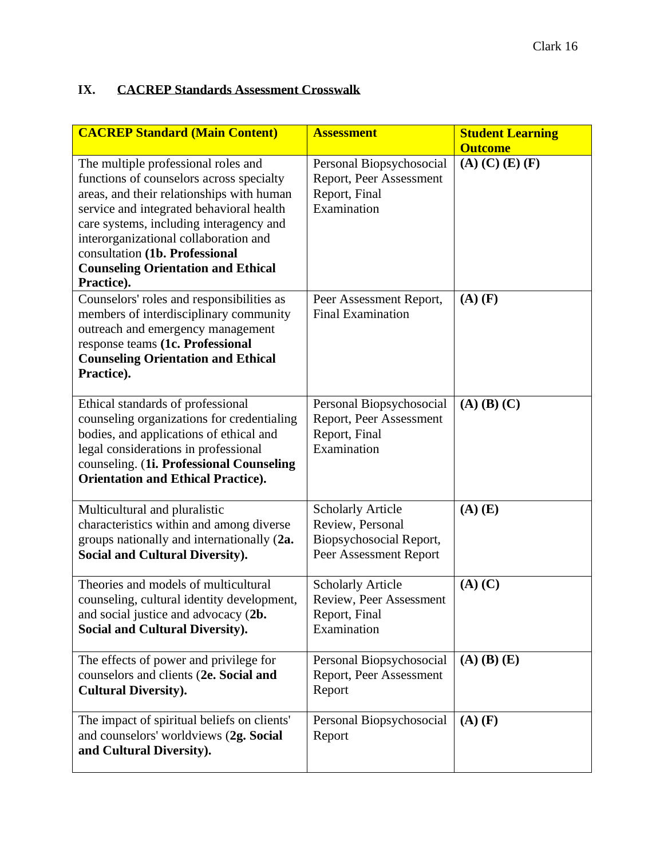# **IX. CACREP Standards Assessment Crosswalk**

| <b>CACREP Standard (Main Content)</b>                                                                                                                                                                                                                                                                                                                     | <b>Assessment</b>                                                                                 | <b>Student Learning</b><br><b>Outcome</b> |
|-----------------------------------------------------------------------------------------------------------------------------------------------------------------------------------------------------------------------------------------------------------------------------------------------------------------------------------------------------------|---------------------------------------------------------------------------------------------------|-------------------------------------------|
| The multiple professional roles and<br>functions of counselors across specialty<br>areas, and their relationships with human<br>service and integrated behavioral health<br>care systems, including interagency and<br>interorganizational collaboration and<br>consultation (1b. Professional<br><b>Counseling Orientation and Ethical</b><br>Practice). | Personal Biopsychosocial<br>Report, Peer Assessment<br>Report, Final<br>Examination               | $(A)$ $(C)$ $(E)$ $(F)$                   |
| Counselors' roles and responsibilities as<br>members of interdisciplinary community<br>outreach and emergency management<br>response teams (1c. Professional<br><b>Counseling Orientation and Ethical</b><br>Practice).                                                                                                                                   | Peer Assessment Report,<br><b>Final Examination</b>                                               | $(A)$ $(F)$                               |
| Ethical standards of professional<br>counseling organizations for credentialing<br>bodies, and applications of ethical and<br>legal considerations in professional<br>counseling. (1i. Professional Counseling<br><b>Orientation and Ethical Practice).</b>                                                                                               | Personal Biopsychosocial<br>Report, Peer Assessment<br>Report, Final<br>Examination               | $(A)$ $(B)$ $(C)$                         |
| Multicultural and pluralistic<br>characteristics within and among diverse<br>groups nationally and internationally (2a.<br><b>Social and Cultural Diversity).</b>                                                                                                                                                                                         | <b>Scholarly Article</b><br>Review, Personal<br>Biopsychosocial Report,<br>Peer Assessment Report | $(A)$ $(E)$                               |
| Theories and models of multicultural<br>counseling, cultural identity development,<br>and social justice and advocacy (2b.<br><b>Social and Cultural Diversity).</b>                                                                                                                                                                                      | <b>Scholarly Article</b><br>Review, Peer Assessment<br>Report, Final<br>Examination               | $(A)$ $(C)$                               |
| The effects of power and privilege for<br>counselors and clients (2e. Social and<br><b>Cultural Diversity).</b>                                                                                                                                                                                                                                           | Personal Biopsychosocial<br>Report, Peer Assessment<br>Report                                     | $(A)$ $(B)$ $(E)$                         |
| The impact of spiritual beliefs on clients'<br>and counselors' worldviews (2g. Social<br>and Cultural Diversity).                                                                                                                                                                                                                                         | Personal Biopsychosocial<br>Report                                                                | $(A)$ $(F)$                               |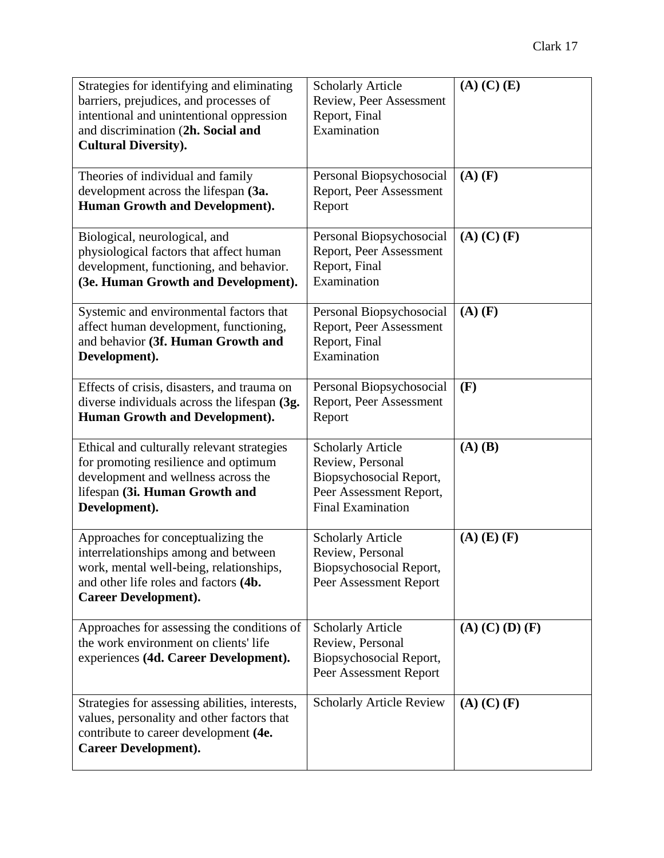| Strategies for identifying and eliminating     | <b>Scholarly Article</b>        | $(A)$ $(C)$ $(E)$       |
|------------------------------------------------|---------------------------------|-------------------------|
| barriers, prejudices, and processes of         | Review, Peer Assessment         |                         |
| intentional and unintentional oppression       | Report, Final                   |                         |
| and discrimination (2h. Social and             | Examination                     |                         |
| <b>Cultural Diversity).</b>                    |                                 |                         |
|                                                |                                 |                         |
| Theories of individual and family              | Personal Biopsychosocial        | $(A)$ $(F)$             |
| development across the lifespan (3a.           | Report, Peer Assessment         |                         |
| Human Growth and Development).                 | Report                          |                         |
|                                                |                                 |                         |
| Biological, neurological, and                  | Personal Biopsychosocial        | $(A)$ $(C)$ $(F)$       |
| physiological factors that affect human        | Report, Peer Assessment         |                         |
| development, functioning, and behavior.        | Report, Final                   |                         |
| (3e. Human Growth and Development).            | Examination                     |                         |
|                                                |                                 |                         |
| Systemic and environmental factors that        | Personal Biopsychosocial        | $(A)$ $(F)$             |
| affect human development, functioning,         | Report, Peer Assessment         |                         |
| and behavior (3f. Human Growth and             | Report, Final                   |                         |
| Development).                                  | Examination                     |                         |
|                                                |                                 |                         |
| Effects of crisis, disasters, and trauma on    | Personal Biopsychosocial        | (F)                     |
| diverse individuals across the lifespan (3g.   | Report, Peer Assessment         |                         |
| Human Growth and Development).                 | Report                          |                         |
|                                                |                                 |                         |
| Ethical and culturally relevant strategies     | <b>Scholarly Article</b>        | $(A)$ $(B)$             |
| for promoting resilience and optimum           | Review, Personal                |                         |
| development and wellness across the            | Biopsychosocial Report,         |                         |
| lifespan (3i. Human Growth and                 | Peer Assessment Report,         |                         |
| Development).                                  | <b>Final Examination</b>        |                         |
|                                                |                                 |                         |
| Approaches for conceptualizing the             | <b>Scholarly Article</b>        | $(A)$ $(E)$ $(F)$       |
| interrelationships among and between           | Review, Personal                |                         |
| work, mental well-being, relationships,        | Biopsychosocial Report,         |                         |
| and other life roles and factors (4b.          | Peer Assessment Report          |                         |
| <b>Career Development).</b>                    |                                 |                         |
|                                                |                                 |                         |
| Approaches for assessing the conditions of     | <b>Scholarly Article</b>        | $(A)$ $(C)$ $(D)$ $(F)$ |
| the work environment on clients' life          | Review, Personal                |                         |
| experiences (4d. Career Development).          | Biopsychosocial Report,         |                         |
|                                                | Peer Assessment Report          |                         |
| Strategies for assessing abilities, interests, | <b>Scholarly Article Review</b> | $(A)$ $(C)$ $(F)$       |
| values, personality and other factors that     |                                 |                         |
| contribute to career development (4e.          |                                 |                         |
| <b>Career Development).</b>                    |                                 |                         |
|                                                |                                 |                         |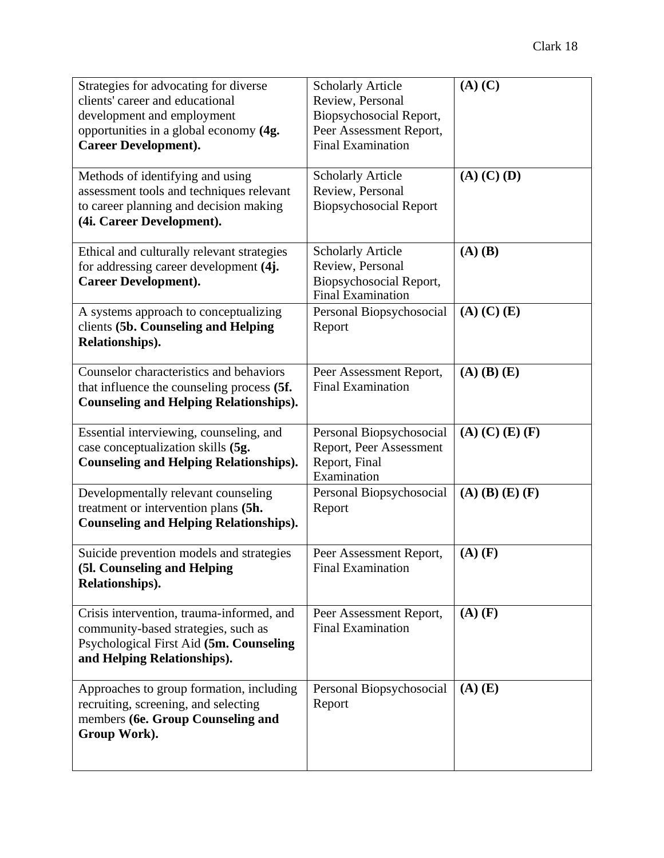| Strategies for advocating for diverse<br>clients' career and educational  | <b>Scholarly Article</b><br>Review, Personal        | $(A)$ $(C)$             |
|---------------------------------------------------------------------------|-----------------------------------------------------|-------------------------|
| development and employment                                                | Biopsychosocial Report,                             |                         |
| opportunities in a global economy (4g.                                    | Peer Assessment Report,                             |                         |
| <b>Career Development).</b>                                               | <b>Final Examination</b>                            |                         |
| Methods of identifying and using                                          | <b>Scholarly Article</b>                            | $(A)$ $(C)$ $(D)$       |
| assessment tools and techniques relevant                                  | Review, Personal                                    |                         |
| to career planning and decision making                                    | <b>Biopsychosocial Report</b>                       |                         |
| (4i. Career Development).                                                 |                                                     |                         |
| Ethical and culturally relevant strategies                                | <b>Scholarly Article</b>                            | $(A)$ $(B)$             |
| for addressing career development (4j.                                    | Review, Personal                                    |                         |
| <b>Career Development).</b>                                               | Biopsychosocial Report,<br><b>Final Examination</b> |                         |
| A systems approach to conceptualizing                                     | Personal Biopsychosocial                            | $(A)$ $(C)$ $(E)$       |
| clients (5b. Counseling and Helping                                       | Report                                              |                         |
| Relationships).                                                           |                                                     |                         |
| Counselor characteristics and behaviors                                   | Peer Assessment Report,                             | $(A)$ $(B)$ $(E)$       |
| that influence the counseling process (5f.                                | <b>Final Examination</b>                            |                         |
| <b>Counseling and Helping Relationships).</b>                             |                                                     |                         |
| Essential interviewing, counseling, and                                   | Personal Biopsychosocial                            | $(A)$ $(C)$ $(E)$ $(F)$ |
| case conceptualization skills (5g.                                        | Report, Peer Assessment                             |                         |
| <b>Counseling and Helping Relationships).</b>                             | Report, Final<br>Examination                        |                         |
| Developmentally relevant counseling                                       | Personal Biopsychosocial                            | $(A)$ $(B)$ $(E)$ $(F)$ |
| treatment or intervention plans (5h.                                      | Report                                              |                         |
| <b>Counseling and Helping Relationships).</b>                             |                                                     |                         |
| Suicide prevention models and strategies                                  | Peer Assessment Report,                             | $(A)$ $(F)$             |
| (51. Counseling and Helping                                               | <b>Final Examination</b>                            |                         |
| Relationships).                                                           |                                                     |                         |
| Crisis intervention, trauma-informed, and                                 | Peer Assessment Report,                             | $(A)$ $(F)$             |
| community-based strategies, such as                                       | <b>Final Examination</b>                            |                         |
| Psychological First Aid (5m. Counseling<br>and Helping Relationships).    |                                                     |                         |
|                                                                           |                                                     |                         |
| Approaches to group formation, including                                  | Personal Biopsychosocial                            | $(A)$ $(E)$             |
| recruiting, screening, and selecting<br>members (6e. Group Counseling and | Report                                              |                         |
| Group Work).                                                              |                                                     |                         |
|                                                                           |                                                     |                         |
|                                                                           |                                                     |                         |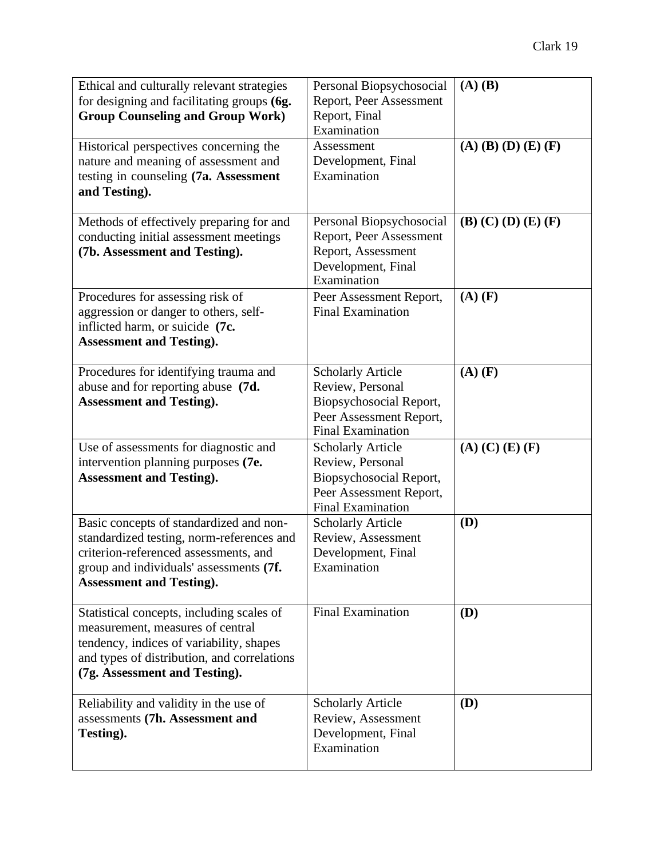| Ethical and culturally relevant strategies<br>for designing and facilitating groups (6g.                                                                                                                    | Personal Biopsychosocial<br>Report, Peer Assessment                                                                            | $(A)$ $(B)$             |
|-------------------------------------------------------------------------------------------------------------------------------------------------------------------------------------------------------------|--------------------------------------------------------------------------------------------------------------------------------|-------------------------|
| <b>Group Counseling and Group Work)</b>                                                                                                                                                                     | Report, Final<br>Examination                                                                                                   |                         |
| Historical perspectives concerning the<br>nature and meaning of assessment and<br>testing in counseling (7a. Assessment<br>and Testing).                                                                    | Assessment<br>Development, Final<br>Examination                                                                                | $(A)$ (B) (D) (E) (F)   |
| Methods of effectively preparing for and<br>conducting initial assessment meetings<br>(7b. Assessment and Testing).                                                                                         | Personal Biopsychosocial<br>Report, Peer Assessment<br>Report, Assessment<br>Development, Final<br>Examination                 | $(B)$ (C) (D) (E) (F)   |
| Procedures for assessing risk of<br>aggression or danger to others, self-<br>inflicted harm, or suicide (7c.<br><b>Assessment and Testing).</b>                                                             | Peer Assessment Report,<br><b>Final Examination</b>                                                                            | $(A)$ $(F)$             |
| Procedures for identifying trauma and<br>abuse and for reporting abuse (7d.<br><b>Assessment and Testing).</b>                                                                                              | <b>Scholarly Article</b><br>Review, Personal<br>Biopsychosocial Report,<br>Peer Assessment Report,<br><b>Final Examination</b> | $(A)$ $(F)$             |
| Use of assessments for diagnostic and<br>intervention planning purposes (7e.<br><b>Assessment and Testing).</b>                                                                                             | <b>Scholarly Article</b><br>Review, Personal<br>Biopsychosocial Report,<br>Peer Assessment Report,<br><b>Final Examination</b> | $(A)$ $(C)$ $(E)$ $(F)$ |
| Basic concepts of standardized and non-<br>standardized testing, norm-references and<br>criterion-referenced assessments, and<br>group and individuals' assessments (7f.<br><b>Assessment and Testing).</b> | <b>Scholarly Article</b><br>Review, Assessment<br>Development, Final<br>Examination                                            | <b>(D)</b>              |
| Statistical concepts, including scales of<br>measurement, measures of central<br>tendency, indices of variability, shapes<br>and types of distribution, and correlations<br>(7g. Assessment and Testing).   | <b>Final Examination</b>                                                                                                       | (D)                     |
| Reliability and validity in the use of<br>assessments (7h. Assessment and<br>Testing).                                                                                                                      | <b>Scholarly Article</b><br>Review, Assessment<br>Development, Final<br>Examination                                            | (D)                     |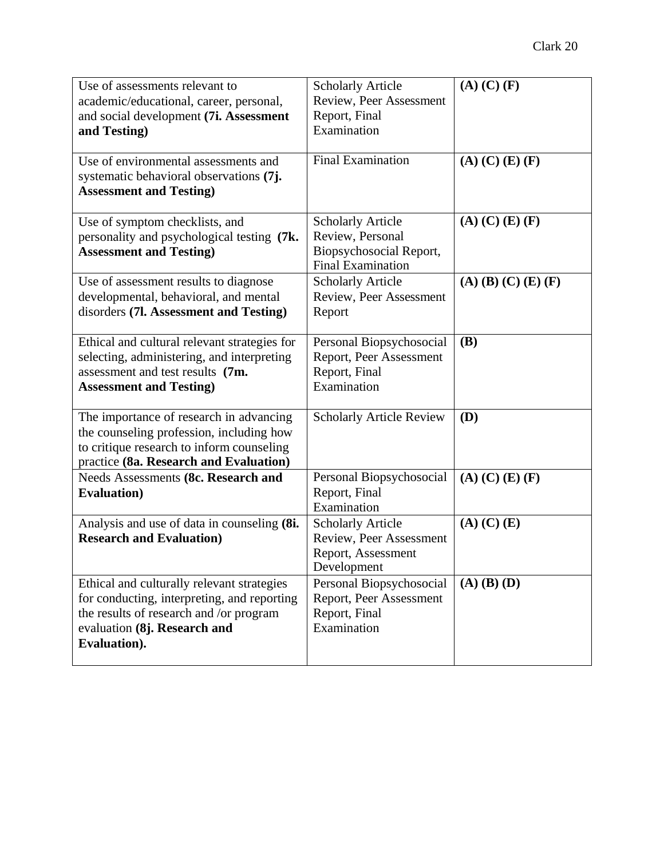| Use of assessments relevant to               | <b>Scholarly Article</b>        | $(A)$ $(C)$ $(F)$            |
|----------------------------------------------|---------------------------------|------------------------------|
| academic/educational, career, personal,      | Review, Peer Assessment         |                              |
| and social development (7i. Assessment       | Report, Final                   |                              |
| and Testing)                                 | Examination                     |                              |
|                                              |                                 |                              |
| Use of environmental assessments and         | <b>Final Examination</b>        | $(A)$ (C) (E) (F)            |
| systematic behavioral observations (7j.      |                                 |                              |
| <b>Assessment and Testing)</b>               |                                 |                              |
| Use of symptom checklists, and               | <b>Scholarly Article</b>        | $(A)$ (C) (E) (F)            |
| personality and psychological testing (7k.   | Review, Personal                |                              |
| <b>Assessment and Testing)</b>               | Biopsychosocial Report,         |                              |
|                                              | <b>Final Examination</b>        |                              |
| Use of assessment results to diagnose        | <b>Scholarly Article</b>        | $(A)$ (B) (C) (E) (F)        |
| developmental, behavioral, and mental        | Review, Peer Assessment         |                              |
| disorders (7l. Assessment and Testing)       | Report                          |                              |
|                                              |                                 |                              |
| Ethical and cultural relevant strategies for | Personal Biopsychosocial        | <b>(B)</b>                   |
| selecting, administering, and interpreting   | Report, Peer Assessment         |                              |
| assessment and test results (7m.             | Report, Final                   |                              |
| <b>Assessment and Testing)</b>               | Examination                     |                              |
|                                              |                                 |                              |
| The importance of research in advancing      | <b>Scholarly Article Review</b> | (D)                          |
| the counseling profession, including how     |                                 |                              |
| to critique research to inform counseling    |                                 |                              |
| practice (8a. Research and Evaluation)       |                                 |                              |
| Needs Assessments (8c. Research and          | Personal Biopsychosocial        | $(A)$ $(C)$ $(E)$ $(F)$      |
| <b>Evaluation</b> )                          | Report, Final<br>Examination    |                              |
| Analysis and use of data in counseling (8i.  | <b>Scholarly Article</b>        | $(A)$ $(C)$ $(\overline{E)}$ |
| <b>Research and Evaluation)</b>              | Review, Peer Assessment         |                              |
|                                              | Report, Assessment              |                              |
|                                              | Development                     |                              |
| Ethical and culturally relevant strategies   | Personal Biopsychosocial        | $(A)$ $(B)$ $(D)$            |
| for conducting, interpreting, and reporting  | Report, Peer Assessment         |                              |
| the results of research and /or program      | Report, Final                   |                              |
| evaluation (8j. Research and                 | Examination                     |                              |
| Evaluation).                                 |                                 |                              |
|                                              |                                 |                              |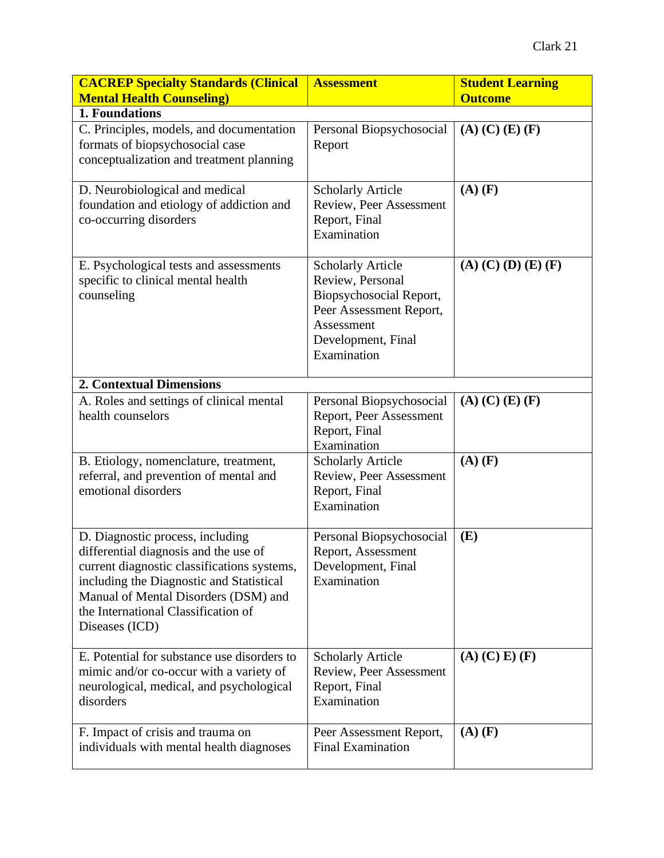| <b>CACREP Specialty Standards (Clinical</b><br><b>Mental Health Counseling)</b>                                                                                                                                                                                       | <b>Assessment</b>                                                                                                                                     | <b>Student Learning</b><br><b>Outcome</b> |
|-----------------------------------------------------------------------------------------------------------------------------------------------------------------------------------------------------------------------------------------------------------------------|-------------------------------------------------------------------------------------------------------------------------------------------------------|-------------------------------------------|
| 1. Foundations                                                                                                                                                                                                                                                        |                                                                                                                                                       |                                           |
| C. Principles, models, and documentation<br>formats of biopsychosocial case<br>conceptualization and treatment planning                                                                                                                                               | Personal Biopsychosocial<br>Report                                                                                                                    | $(A)$ $(C)$ $(E)$ $(F)$                   |
| D. Neurobiological and medical<br>foundation and etiology of addiction and<br>co-occurring disorders                                                                                                                                                                  | <b>Scholarly Article</b><br>Review, Peer Assessment<br>Report, Final<br>Examination                                                                   | $(A)$ $(F)$                               |
| E. Psychological tests and assessments<br>specific to clinical mental health<br>counseling                                                                                                                                                                            | <b>Scholarly Article</b><br>Review, Personal<br>Biopsychosocial Report,<br>Peer Assessment Report,<br>Assessment<br>Development, Final<br>Examination | $(A)$ (C) (D) (E) (F)                     |
| <b>2. Contextual Dimensions</b>                                                                                                                                                                                                                                       |                                                                                                                                                       |                                           |
| A. Roles and settings of clinical mental<br>health counselors                                                                                                                                                                                                         | Personal Biopsychosocial<br>Report, Peer Assessment<br>Report, Final<br>Examination                                                                   | $(A)$ $(C)$ $(E)$ $(F)$                   |
| B. Etiology, nomenclature, treatment,<br>referral, and prevention of mental and<br>emotional disorders                                                                                                                                                                | <b>Scholarly Article</b><br>Review, Peer Assessment<br>Report, Final<br>Examination                                                                   | $(A)$ $(F)$                               |
| D. Diagnostic process, including<br>differential diagnosis and the use of<br>current diagnostic classifications systems,<br>including the Diagnostic and Statistical<br>Manual of Mental Disorders (DSM) and<br>the International Classification of<br>Diseases (ICD) | Personal Biopsychosocial<br>Report, Assessment<br>Development, Final<br>Examination                                                                   | (E)                                       |
| E. Potential for substance use disorders to<br>mimic and/or co-occur with a variety of<br>neurological, medical, and psychological<br>disorders                                                                                                                       | <b>Scholarly Article</b><br>Review, Peer Assessment<br>Report, Final<br>Examination                                                                   | $(A)$ $(C)$ $E)$ $(F)$                    |
| F. Impact of crisis and trauma on<br>individuals with mental health diagnoses                                                                                                                                                                                         | Peer Assessment Report,<br><b>Final Examination</b>                                                                                                   | $(A)$ $(F)$                               |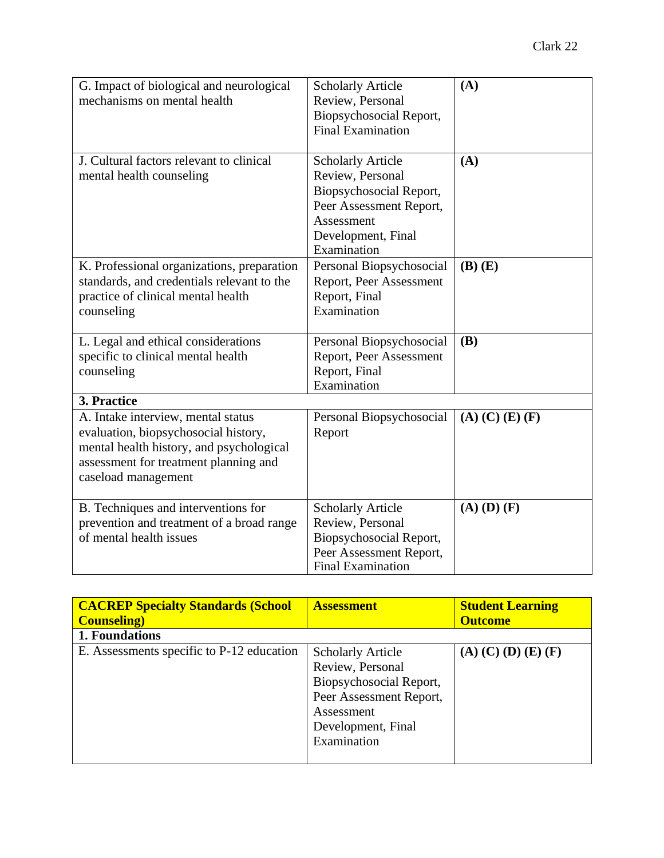| G. Impact of biological and neurological<br>mechanisms on mental health | <b>Scholarly Article</b><br>Review, Personal | (A)                     |
|-------------------------------------------------------------------------|----------------------------------------------|-------------------------|
|                                                                         | Biopsychosocial Report,                      |                         |
|                                                                         | <b>Final Examination</b>                     |                         |
|                                                                         |                                              |                         |
| J. Cultural factors relevant to clinical                                | <b>Scholarly Article</b>                     | (A)                     |
| mental health counseling                                                | Review, Personal                             |                         |
|                                                                         | Biopsychosocial Report,                      |                         |
|                                                                         | Peer Assessment Report,                      |                         |
|                                                                         | Assessment                                   |                         |
|                                                                         | Development, Final                           |                         |
|                                                                         | Examination                                  |                         |
| K. Professional organizations, preparation                              | Personal Biopsychosocial                     | $(B)$ $(E)$             |
| standards, and credentials relevant to the                              | Report, Peer Assessment                      |                         |
| practice of clinical mental health                                      | Report, Final                                |                         |
| counseling                                                              | Examination                                  |                         |
|                                                                         |                                              |                         |
| L. Legal and ethical considerations                                     | Personal Biopsychosocial                     | <b>(B)</b>              |
| specific to clinical mental health                                      | Report, Peer Assessment                      |                         |
| counseling                                                              | Report, Final                                |                         |
|                                                                         | Examination                                  |                         |
| 3. Practice                                                             |                                              |                         |
| A. Intake interview, mental status                                      | Personal Biopsychosocial                     | $(A)$ $(C)$ $(E)$ $(F)$ |
| evaluation, biopsychosocial history,                                    | Report                                       |                         |
| mental health history, and psychological                                |                                              |                         |
| assessment for treatment planning and                                   |                                              |                         |
| caseload management                                                     |                                              |                         |
|                                                                         |                                              |                         |
| B. Techniques and interventions for                                     | <b>Scholarly Article</b>                     | $(A)$ $(D)$ $(F)$       |
| prevention and treatment of a broad range                               | Review, Personal                             |                         |
| of mental health issues                                                 | Biopsychosocial Report,                      |                         |
|                                                                         | Peer Assessment Report,                      |                         |
|                                                                         | <b>Final Examination</b>                     |                         |

| <b>CACREP Specialty Standards (School)</b><br><b>Counseling</b> ) | <b>Assessment</b>                                                                                                                      | <b>Student Learning</b><br><b>Outcome</b> |
|-------------------------------------------------------------------|----------------------------------------------------------------------------------------------------------------------------------------|-------------------------------------------|
| 1. Foundations                                                    |                                                                                                                                        |                                           |
| E. Assessments specific to P-12 education                         | <b>Scholarly Article</b><br>Review, Personal<br>Biopsychosocial Report,<br>Peer Assessment Report,<br>Assessment<br>Development, Final | $(A)$ (C) (D) (E) (F)                     |
|                                                                   | Examination                                                                                                                            |                                           |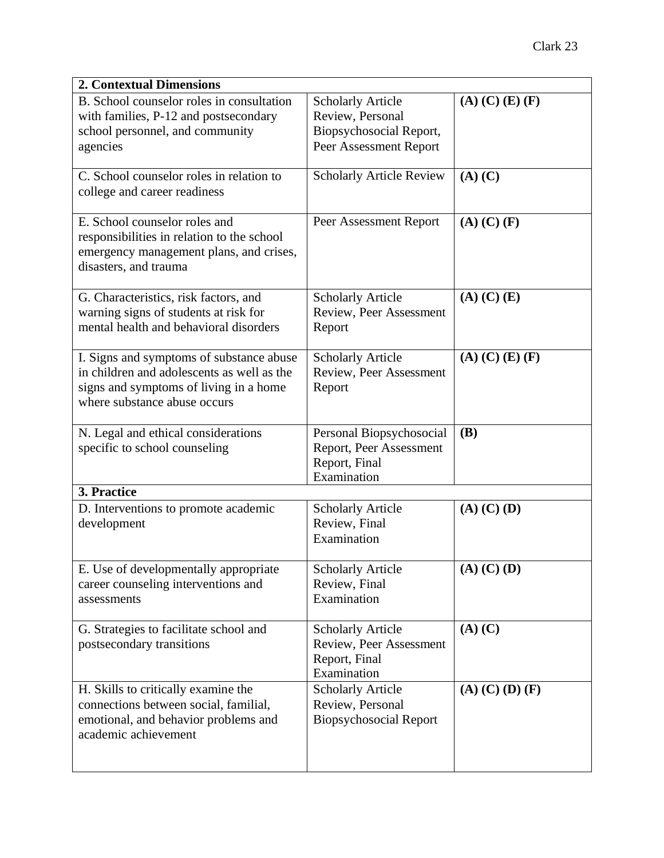| <b>2. Contextual Dimensions</b>                                                                                                                                  |                                                                                                   |                         |  |
|------------------------------------------------------------------------------------------------------------------------------------------------------------------|---------------------------------------------------------------------------------------------------|-------------------------|--|
| B. School counselor roles in consultation<br>with families, P-12 and postsecondary<br>school personnel, and community<br>agencies                                | <b>Scholarly Article</b><br>Review, Personal<br>Biopsychosocial Report,<br>Peer Assessment Report | $(A)$ $(C)$ $(E)$ $(F)$ |  |
| C. School counselor roles in relation to<br>college and career readiness                                                                                         | <b>Scholarly Article Review</b>                                                                   | $(A)$ $(C)$             |  |
| E. School counselor roles and<br>responsibilities in relation to the school<br>emergency management plans, and crises,<br>disasters, and trauma                  | Peer Assessment Report                                                                            | $(A)$ $(C)$ $(F)$       |  |
| G. Characteristics, risk factors, and<br>warning signs of students at risk for<br>mental health and behavioral disorders                                         | <b>Scholarly Article</b><br>Review, Peer Assessment<br>Report                                     | $(A)$ $(C)$ $(E)$       |  |
| I. Signs and symptoms of substance abuse<br>in children and adolescents as well as the<br>signs and symptoms of living in a home<br>where substance abuse occurs | <b>Scholarly Article</b><br>Review, Peer Assessment<br>Report                                     | $(A)$ (C) (E) (F)       |  |
| N. Legal and ethical considerations<br>specific to school counseling                                                                                             | Personal Biopsychosocial<br>Report, Peer Assessment<br>Report, Final<br>Examination               | <b>(B)</b>              |  |
| 3. Practice                                                                                                                                                      |                                                                                                   |                         |  |
| D. Interventions to promote academic<br>development                                                                                                              | <b>Scholarly Article</b><br>Review, Final<br>Examination                                          | $(A)$ $(C)$ $(D)$       |  |
| E. Use of developmentally appropriate<br>career counseling interventions and<br>assessments                                                                      | <b>Scholarly Article</b><br>Review, Final<br>Examination                                          | $(A)$ $(C)$ $(D)$       |  |
| G. Strategies to facilitate school and<br>postsecondary transitions                                                                                              | <b>Scholarly Article</b><br>Review, Peer Assessment<br>Report, Final<br>Examination               | $(A)$ $(C)$             |  |
| H. Skills to critically examine the<br>connections between social, familial,<br>emotional, and behavior problems and<br>academic achievement                     | <b>Scholarly Article</b><br>Review, Personal<br><b>Biopsychosocial Report</b>                     | $(A)$ $(C)$ $(D)$ $(F)$ |  |